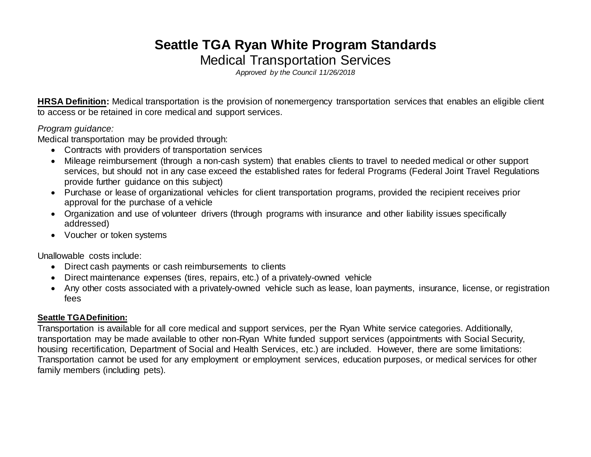# **Seattle TGA Ryan White Program Standards** Medical Transportation Services

*Approved by the Council 11/26/2018*

**HRSA Definition:** Medical transportation is the provision of nonemergency transportation services that enables an eligible client to access or be retained in core medical and support services.

#### *Program guidance:*

Medical transportation may be provided through:

- Contracts with providers of transportation services
- Mileage reimbursement (through a non-cash system) that enables clients to travel to needed medical or other support services, but should not in any case exceed the established rates for federal Programs (Federal Joint Travel Regulations provide further guidance on this subject)
- Purchase or lease of organizational vehicles for client transportation programs, provided the recipient receives prior approval for the purchase of a vehicle
- Organization and use of volunteer drivers (through programs with insurance and other liability issues specifically addressed)
- Voucher or token systems

Unallowable costs include:

- Direct cash payments or cash reimbursements to clients
- Direct maintenance expenses (tires, repairs, etc.) of a privately-owned vehicle
- Any other costs associated with a privately-owned vehicle such as lease, loan payments, insurance, license, or registration fees

#### **Seattle TGA Definition:**

Transportation is available for all core medical and support services, per the Ryan White service categories. Additionally, transportation may be made available to other non-Ryan White funded support services (appointments with Social Security, housing recertification, Department of Social and Health Services, etc.) are included. However, there are some limitations: Transportation cannot be used for any employment or employment services, education purposes, or medical services for other family members (including pets).